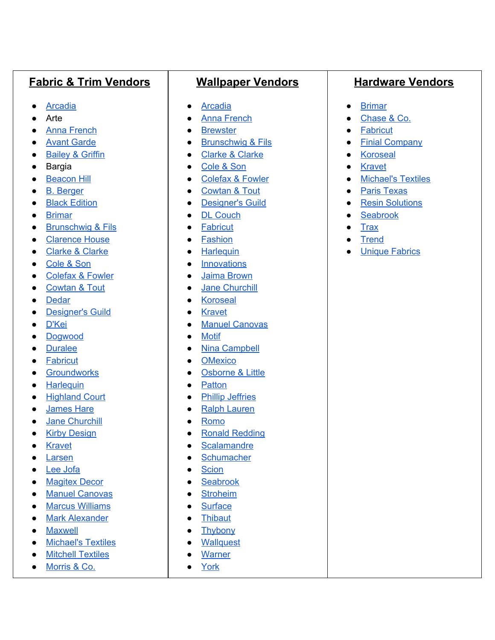## **Fabric & Trim Vendors**

- [Arcadia](http://www.arcadiacontract.com/index.php)
- Arte
- Anna [French](http://www.thibautdesign.com/AF/)
- Avant [Garde](http://masterfabrics.com/en/avant-garde/)
- [Bailey](https://www.duralee.com/Bailey-Griffin/Bailey-Griffin-Fabric.htm) & Griffin
- Bargia
- [Beacon](http://www.beaconhilldesign.com/) Hill
- B. [Berger](https://www.duralee.com/Berger.htm)
- Black [Edition](https://www.blackedition.com/)
- [Brimar](http://www.brimarinc.com/)
- [Brunschwig](http://www.brunschwig.com/) & Fils
- [Clarence](http://www.clarencehouse.com/) House
- Clarke & [Clarke](http://www.clarke-clarke.com/)
- [Cole](https://www.cole-and-son.com/en/) & Son
- [Colefax](http://www.cowtan.com/colefax-and-fowler) & Fowler
- [Cowtan](http://www.cowtan.com/) & Tout
- [Dedar](http://dedar.com/us/)
- [Designer's](https://www.designersguild.com/us/l0) Guild
- [D'Kei](http://www.dkei.net/?gclid=Cj0KCQjw6NjNBRDKARIsAFn3NMrOvRZR6ZyLVk-pvFpIz-DpchZxH9XiSjDgNtjUKEG1I70syiouusAaAryBEALw_wcB)
- [Dogwood](http://dogwoodfabrics.com/index.html/)
- [Duralee](https://www.duralee.com/)
- [Fabricut](https://fabricut.com/)
- **•** [Groundworks](http://www.leejofa.com/groundworks_fabrics.htm)
- [Harlequin](https://www.stylelibrary.com/harlequin/)
- [Highland](https://www.duralee.com/Highland-Court/Highland-Court-Fabric.htm) Court
- [James](http://james-hare.com/) Hare
- Jane [Churchill](http://www.cowtan.com/jane-churchill)
- Kirby [Design](https://www.kirkbydesign.com/)
- [Kravet](http://kravet.com/)
- [Larsen](http://www.cowtan.com/larsen)
- Lee [Jofa](http://www.leejofa.com/)
- [Magitex](http://www.magitexdecor.com/) Decor
- Manuel [Canovas](http://www.cowtan.com/manuel-canovas)
- Marcus [Williams](https://www.marcuswilliam.com/)
- Mark [Alexander](https://www.markalexander.com/)
- [Maxwell](http://www.maxwellfabrics.com/)
- [Michael's](http://www.mitchellfabrics.com/) Textiles
- Mitchell [Textiles](http://www.mitchellfabrics.com/)
- [Morris](https://www.stylelibrary.com/morris&co/) & Co.

## **Wallpaper Vendors**

- [Arcadia](http://www.arcadiacontract.com/index.php)
- Anna [French](http://www.thibautdesign.com/AF/)
- [Brewster](https://www.brewsterwallcovering.com/)
- [Brunschwig](http://www.brunschwig.com/) & Fils
- [Clarke](http://www.clarke-clarke.com/) & Clarke
- [Cole](https://www.cole-and-son.com/en/) & Son
- [Colefax](http://www.cowtan.com/colefax-and-fowler) & Fowler
- [Cowtan](http://www.cowtan.com/) & Tout
- [Designer's](https://www.designersguild.com/us/l0) Guild
- DL [Couch](http://www.dlcouch.com/)
- [Fabricut](https://fabricut.com/)
- [Fashion](http://fashionadco.com/)
- [Harlequin](https://www.stylelibrary.com/harlequin/)
- [Innovations](https://www.innovationsusa.com/)
- Jaima [Brown](http://www.wallquest.com/jaima/collections.htm)
- Jane [Churchill](http://www.cowtan.com/jane-churchill)
- [Koroseal](http://www.koroseal.com/)
- [Kravet](http://kravet.com/)
- Manuel [Canovas](http://www.cowtan.com/manuel-canovas)
- [Motif](http://motif-designs.com/)
- Nina [Campbell](http://ninacampbellinteriors.com/)
- [OMexico](http://omexco.com/)
- [Osborne](https://www.osborneandlittle.com/) & Little
- [Patton](http://www.pattonwallcoverings.net/)
- Phillip [Jeffries](https://www.phillipjeffries.com/)
- Ralph [Lauren](http://customers.folia-fabrics.com/)
- [Romo](https://www.romo.com/)
- Ronald [Redding](http://www.yorkwall.com/subbrand/RRD)
- [Scalamandre](http://www.scalamandre.com/custom/index.html)
- [Schumacher](http://www.fschumacher.com/)
- [Scion](https://www.stylelibrary.com/scion/)
- [Seabrook](https://www.seabrookwallpaper.com/)
- [Stroheim](https://www.stroheim.com/)
- [Surface](http://www.surfacematerials.com/index.html)
- [Thibaut](https://www.thibautdesign.com/)
- [Thybony](http://www.winfieldthybony.com/)
- [Wallquest](http://wallquest.com/)
- [Warner](https://www.brewsterwallcovering.com/warner-textures-brand.aspx)
- [York](http://www.yorkwall.com/)

## **Hardware Vendors**

- [Brimar](http://www.brimarinc.com/)
- [Chase](https://www.duralee.com/Duralee/Hardware.htm/) & Co.
- [Fabricut](https://fabricut.com/)
- Finial [Company](https://www.thefinialcompany.com/)
- [Koroseal](http://www.koroseal.com/)
- [Kravet](http://kravet.com/)
- [Michael's](http://www.mitchellfabrics.com/) Textiles
- Paris [Texas](http://paristexashardware.com/)
- Resin [Solutions](http://www.resinsolutionsinc.com/)
- [Seabrook](https://www.seabrookwallpaper.com/)
- [Trax](http://www.onlinetrax.com/products.asp)
- [Trend](https://www.trend-fabrics.com/)
- Unique [Fabrics](http://www.uniquefabrics.com/)